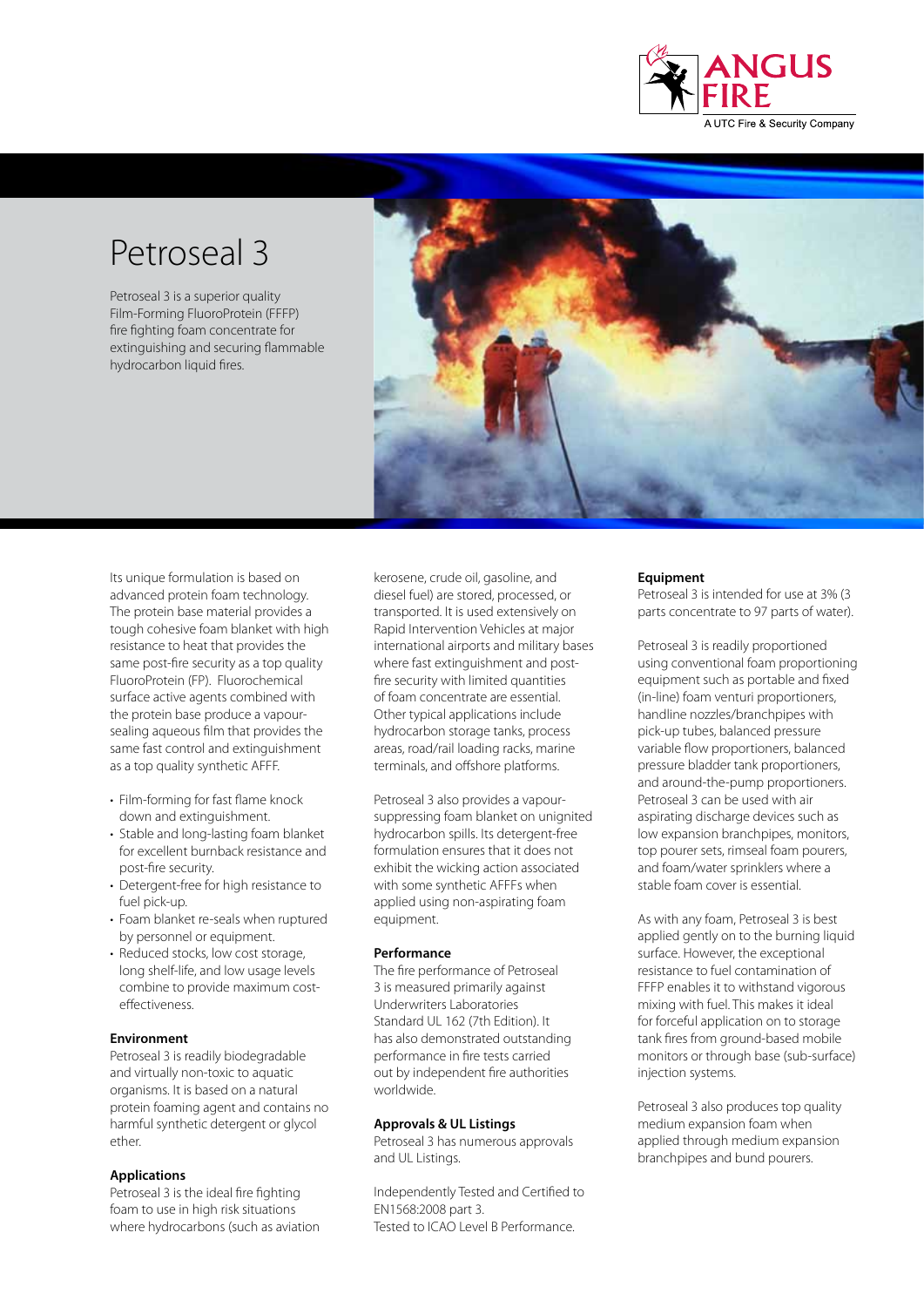

# Petroseal 3

Petroseal 3 is a superior quality Film-Forming FluoroProtein (FFFP) fire fighting foam concentrate for extinguishing and securing flammable hydrocarbon liquid fires.



Its unique formulation is based on advanced protein foam technology. The protein base material provides a tough cohesive foam blanket with high resistance to heat that provides the same post-fire security as a top quality FluoroProtein (FP). Fluorochemical surface active agents combined with the protein base produce a vapoursealing aqueous film that provides the same fast control and extinguishment as a top quality synthetic AFFF.

- Film-forming for fast flame knock down and extinguishment.
- Stable and long-lasting foam blanket for excellent burnback resistance and post-fire security.
- Detergent-free for high resistance to fuel pick-up.
- Foam blanket re-seals when ruptured by personnel or equipment.
- Reduced stocks, low cost storage, long shelf-life, and low usage levels combine to provide maximum costeffectiveness.

# **Environment**

Petroseal 3 is readily biodegradable and virtually non-toxic to aquatic organisms. It is based on a natural protein foaming agent and contains no harmful synthetic detergent or glycol ether.

# **Applications**

Petroseal 3 is the ideal fire fighting foam to use in high risk situations where hydrocarbons (such as aviation kerosene, crude oil, gasoline, and diesel fuel) are stored, processed, or transported. It is used extensively on Rapid Intervention Vehicles at major international airports and military bases where fast extinguishment and postfire security with limited quantities of foam concentrate are essential. Other typical applications include hydrocarbon storage tanks, process areas, road/rail loading racks, marine terminals, and offshore platforms.

Petroseal 3 also provides a vapoursuppressing foam blanket on unignited hydrocarbon spills. Its detergent-free formulation ensures that it does not exhibit the wicking action associated with some synthetic AFFFs when applied using non-aspirating foam equipment.

# **Performance**

The fire performance of Petroseal 3 is measured primarily against Underwriters Laboratories Standard UL 162 (7th Edition). It has also demonstrated outstanding performance in fire tests carried out by independent fire authorities worldwide.

# **Approvals & UL Listings**

Petroseal 3 has numerous approvals and UL Listings.

Independently Tested and Certified to EN1568:2008 part 3. Tested to ICAO Level B Performance.

## **Equipment**

Petroseal 3 is intended for use at 3% (3 parts concentrate to 97 parts of water).

Petroseal 3 is readily proportioned using conventional foam proportioning equipment such as portable and fixed (in-line) foam venturi proportioners, handline nozzles/branchpipes with pick-up tubes, balanced pressure variable flow proportioners, balanced pressure bladder tank proportioners, and around-the-pump proportioners. Petroseal 3 can be used with air aspirating discharge devices such as low expansion branchpipes, monitors, top pourer sets, rimseal foam pourers, and foam/water sprinklers where a stable foam cover is essential.

As with any foam, Petroseal 3 is best applied gently on to the burning liquid surface. However, the exceptional resistance to fuel contamination of FFFP enables it to withstand vigorous mixing with fuel. This makes it ideal for forceful application on to storage tank fires from ground-based mobile monitors or through base (sub-surface) injection systems.

Petroseal 3 also produces top quality medium expansion foam when applied through medium expansion branchpipes and bund pourers.